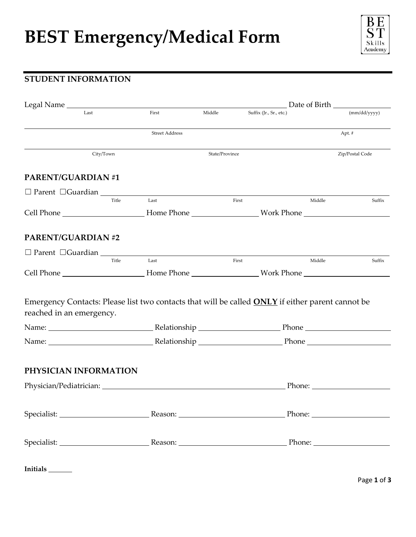# **BEST Emergency/Medical Form**



## **STUDENT INFORMATION**

| Legal Name                                                                                                                                                                                                                    |           |                       |                | Date of Birth           |                              |                 |
|-------------------------------------------------------------------------------------------------------------------------------------------------------------------------------------------------------------------------------|-----------|-----------------------|----------------|-------------------------|------------------------------|-----------------|
| Last                                                                                                                                                                                                                          |           | First                 | Middle         | Suffix (Jr., Sr., etc.) |                              | (mm/dd/vvvv)    |
|                                                                                                                                                                                                                               |           | <b>Street Address</b> |                |                         |                              | Apt. #          |
|                                                                                                                                                                                                                               | City/Town |                       | State/Province |                         |                              | Zip/Postal Code |
| <b>PARENT/GUARDIAN#1</b>                                                                                                                                                                                                      |           |                       |                |                         |                              |                 |
| $\Box$ Parent $\Box$ Guardian $\Box$                                                                                                                                                                                          | Title     | Last                  | First          |                         | Middle                       | Suffix          |
|                                                                                                                                                                                                                               |           |                       |                |                         |                              |                 |
| <b>PARENT/GUARDIAN#2</b>                                                                                                                                                                                                      |           |                       |                |                         |                              |                 |
| $\Box$ Parent $\Box$ Guardian $\Box$                                                                                                                                                                                          |           |                       |                |                         |                              |                 |
|                                                                                                                                                                                                                               | Title     | Last                  | First          |                         | Middle                       | Suffix          |
| Emergency Contacts: Please list two contacts that will be called <b>ONLY</b> if either parent cannot be<br>reached in an emergency.                                                                                           |           |                       |                |                         |                              |                 |
|                                                                                                                                                                                                                               |           |                       |                |                         |                              |                 |
| Name: Name: Name: Name: Name: Name: Name: Name: Name: Name: Name: Name: Name: Name: Name: Name: Name: Name: Name: Name: Name: Name: Name: Name: Name: Name: Name: Name: Name: Name: Name: Name: Name: Name: Name: Name: Name: |           |                       |                |                         |                              |                 |
| PHYSICIAN INFORMATION                                                                                                                                                                                                         |           |                       |                |                         |                              |                 |
|                                                                                                                                                                                                                               |           |                       |                |                         | Phone: <u>______________</u> |                 |
|                                                                                                                                                                                                                               |           |                       |                |                         |                              |                 |
|                                                                                                                                                                                                                               |           |                       |                |                         |                              |                 |
|                                                                                                                                                                                                                               |           |                       |                |                         |                              |                 |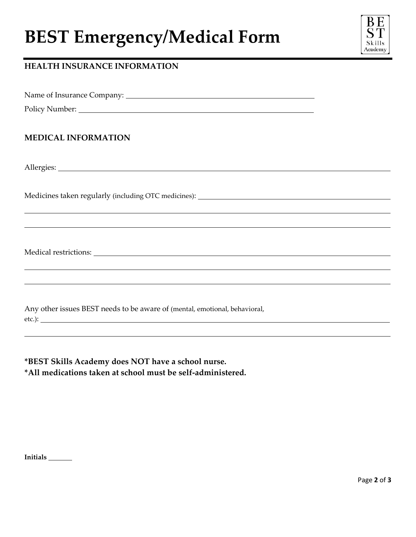# **BEST Emergency/Medical Form**



### **HEALTH INSURANCE INFORMATION**

Name of Insurance Company:

Policy Number:

#### **MEDICAL INFORMATION**

Allergies:

 $\overline{a}$ 

 $\overline{a}$ 

 $\overline{a}$ 

 $\overline{a}$ 

Medicines taken regularly (including OTC medicines):

Medical restrictions:

Any other issues BEST needs to be aware of (mental, emotional, behavioral, etc.):

 $\overline{a}$ 

**\*BEST Skills Academy does NOT have a school nurse. \*All medications taken at school must be self-administered.**

**Initials**